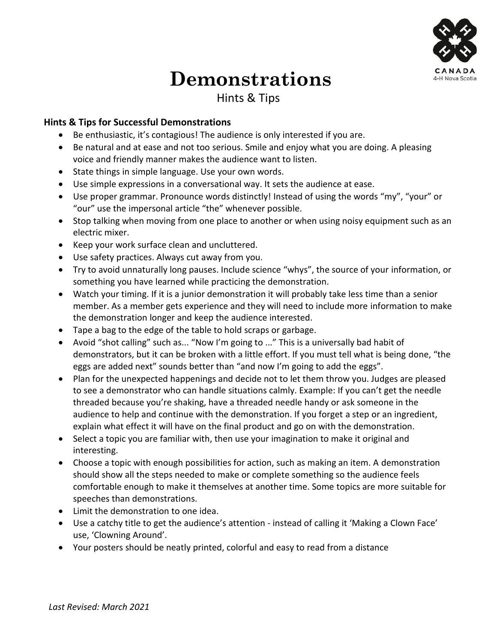

## **Demonstrations**

## Hints & Tips

## **Hints & Tips for Successful Demonstrations**

- Be enthusiastic, it's contagious! The audience is only interested if you are.
- Be natural and at ease and not too serious. Smile and enjoy what you are doing. A pleasing voice and friendly manner makes the audience want to listen.
- State things in simple language. Use your own words.
- Use simple expressions in a conversational way. It sets the audience at ease.
- Use proper grammar. Pronounce words distinctly! Instead of using the words "my", "your" or "our" use the impersonal article "the" whenever possible.
- Stop talking when moving from one place to another or when using noisy equipment such as an electric mixer.
- Keep your work surface clean and uncluttered.
- Use safety practices. Always cut away from you.
- Try to avoid unnaturally long pauses. Include science "whys", the source of your information, or something you have learned while practicing the demonstration.
- Watch your timing. If it is a junior demonstration it will probably take less time than a senior member. As a member gets experience and they will need to include more information to make the demonstration longer and keep the audience interested.
- Tape a bag to the edge of the table to hold scraps or garbage.
- Avoid "shot calling" such as... "Now I'm going to ..." This is a universally bad habit of demonstrators, but it can be broken with a little effort. If you must tell what is being done, "the eggs are added next" sounds better than "and now I'm going to add the eggs".
- Plan for the unexpected happenings and decide not to let them throw you. Judges are pleased to see a demonstrator who can handle situations calmly. Example: If you can't get the needle threaded because you're shaking, have a threaded needle handy or ask someone in the audience to help and continue with the demonstration. If you forget a step or an ingredient, explain what effect it will have on the final product and go on with the demonstration.
- Select a topic you are familiar with, then use your imagination to make it original and interesting.
- Choose a topic with enough possibilities for action, such as making an item. A demonstration should show all the steps needed to make or complete something so the audience feels comfortable enough to make it themselves at another time. Some topics are more suitable for speeches than demonstrations.
- Limit the demonstration to one idea.
- Use a catchy title to get the audience's attention instead of calling it 'Making a Clown Face' use, 'Clowning Around'.
- Your posters should be neatly printed, colorful and easy to read from a distance